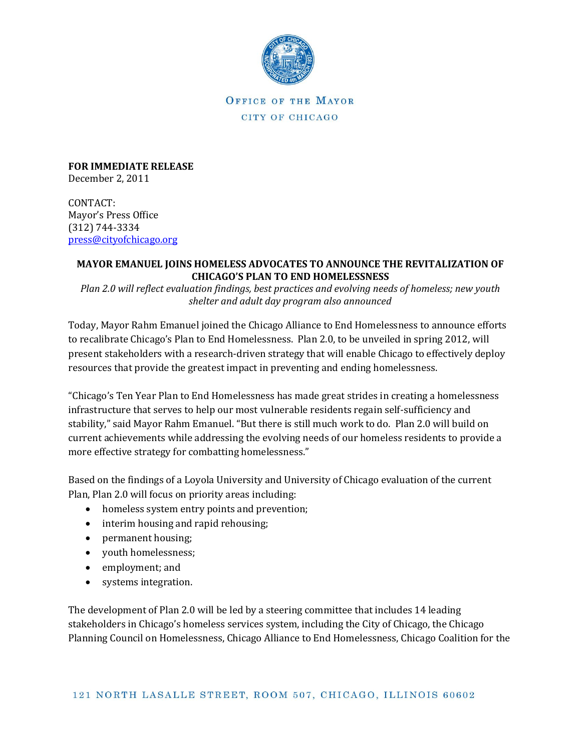

OFFICE OF THE MAYOR CITY OF CHICAGO

**FOR IMMEDIATE RELEASE** December 2, 2011

CONTACT: Mayor's Press Office (312) 744-3334 [press@cityofchicago.org](mailto:press@cityofchicago.org)

## **MAYOR EMANUEL JOINS HOMELESS ADVOCATES TO ANNOUNCE THE REVITALIZATION OF CHICAGO'S PLAN TO END HOMELESSNESS**

*Plan 2.0 will reflect evaluation findings, best practices and evolving needs of homeless; new youth shelter and adult day program also announced*

Today, Mayor Rahm Emanuel joined the Chicago Alliance to End Homelessness to announce efforts to recalibrate Chicago's Plan to End Homelessness. Plan 2.0, to be unveiled in spring 2012, will present stakeholders with a research-driven strategy that will enable Chicago to effectively deploy resources that provide the greatest impact in preventing and ending homelessness.

"Chicago's Ten Year Plan to End Homelessness has made great strides in creating a homelessness infrastructure that serves to help our most vulnerable residents regain self-sufficiency and stability," said Mayor Rahm Emanuel. "But there is still much work to do. Plan 2.0 will build on current achievements while addressing the evolving needs of our homeless residents to provide a more effective strategy for combatting homelessness."

Based on the findings of a Loyola University and University of Chicago evaluation of the current Plan, Plan 2.0 will focus on priority areas including:

- homeless system entry points and prevention;
- interim housing and rapid rehousing;
- permanent housing;
- youth homelessness;
- employment; and
- systems integration.

The development of Plan 2.0 will be led by a steering committee that includes 14 leading stakeholders in Chicago's homeless services system, including the City of Chicago, the Chicago Planning Council on Homelessness, Chicago Alliance to End Homelessness, Chicago Coalition for the